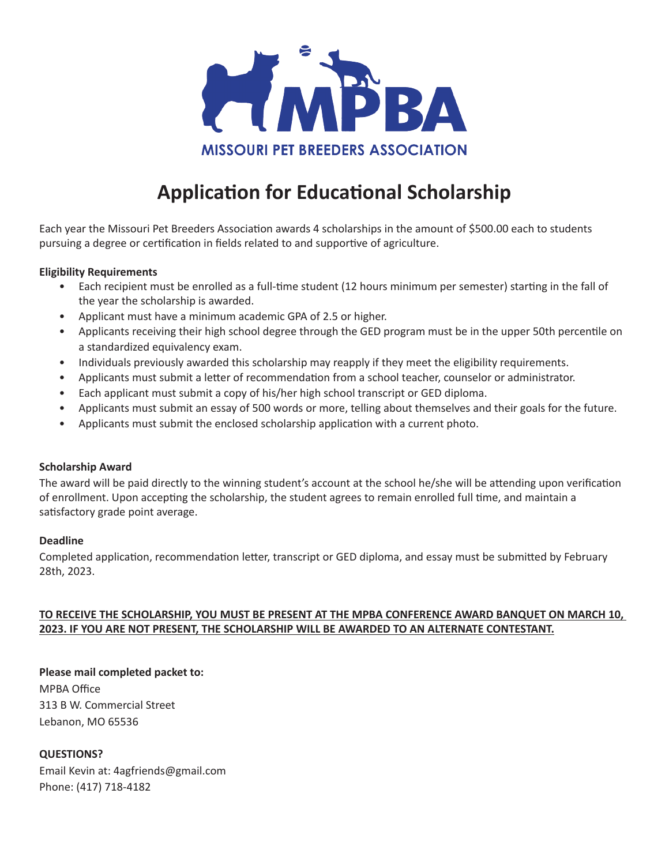

# **Application for Educational Scholarship**

Each year the Missouri Pet Breeders Association awards 4 scholarships in the amount of \$500.00 each to students pursuing a degree or certification in fields related to and supportive of agriculture.

#### **Eligibility Requirements**

- Each recipient must be enrolled as a full-time student (12 hours minimum per semester) starting in the fall of the year the scholarship is awarded.
- Applicant must have a minimum academic GPA of 2.5 or higher.
- Applicants receiving their high school degree through the GED program must be in the upper 50th percentile on a standardized equivalency exam.
- Individuals previously awarded this scholarship may reapply if they meet the eligibility requirements.
- Applicants must submit a letter of recommendation from a school teacher, counselor or administrator.
- Each applicant must submit a copy of his/her high school transcript or GED diploma.
- Applicants must submit an essay of 500 words or more, telling about themselves and their goals for the future.
- Applicants must submit the enclosed scholarship application with a current photo.

## **Scholarship Award**

The award will be paid directly to the winning student's account at the school he/she will be attending upon verification of enrollment. Upon accepting the scholarship, the student agrees to remain enrolled full time, and maintain a satisfactory grade point average.

#### **Deadline**

Completed application, recommendation letter, transcript or GED diploma, and essay must be submitted by February 28th, 2023.

# **TO RECEIVE THE SCHOLARSHIP, YOU MUST BE PRESENT AT THE MPBA CONFERENCE AWARD BANQUET ON MARCH 10, 2023. IF YOU ARE NOT PRESENT, THE SCHOLARSHIP WILL BE AWARDED TO AN ALTERNATE CONTESTANT.**

## **Please mail completed packet to:**

MPBA Office 313 B W. Commercial Street Lebanon, MO 65536

## **QUESTIONS?**

Email Kevin at: 4agfriends@gmail.com Phone: (417) 718-4182